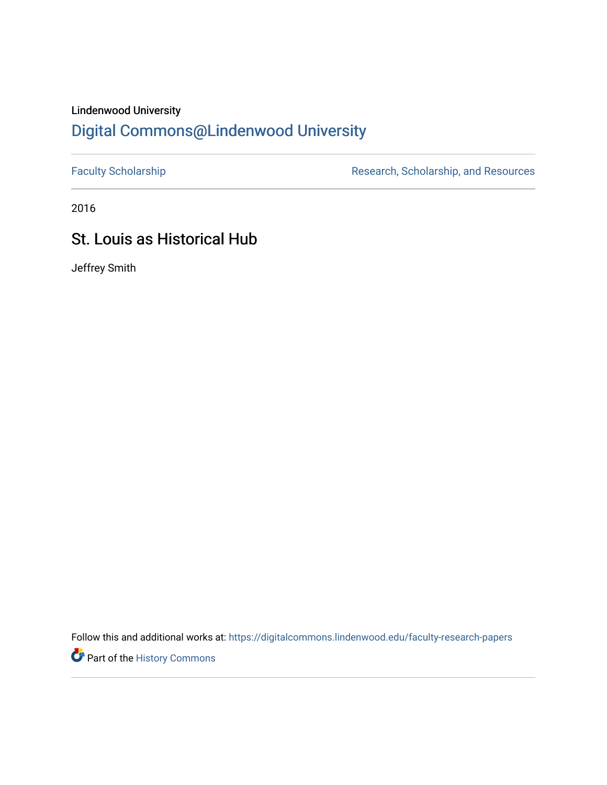#### Lindenwood University

# [Digital Commons@Lindenwood University](https://digitalcommons.lindenwood.edu/)

[Faculty Scholarship](https://digitalcommons.lindenwood.edu/faculty-research-papers) **Research, Scholarship, and Resources** 

2016

## St. Louis as Historical Hub

Jeffrey Smith

Follow this and additional works at: [https://digitalcommons.lindenwood.edu/faculty-research-papers](https://digitalcommons.lindenwood.edu/faculty-research-papers?utm_source=digitalcommons.lindenwood.edu%2Ffaculty-research-papers%2F379&utm_medium=PDF&utm_campaign=PDFCoverPages)

Part of the [History Commons](http://network.bepress.com/hgg/discipline/489?utm_source=digitalcommons.lindenwood.edu%2Ffaculty-research-papers%2F379&utm_medium=PDF&utm_campaign=PDFCoverPages)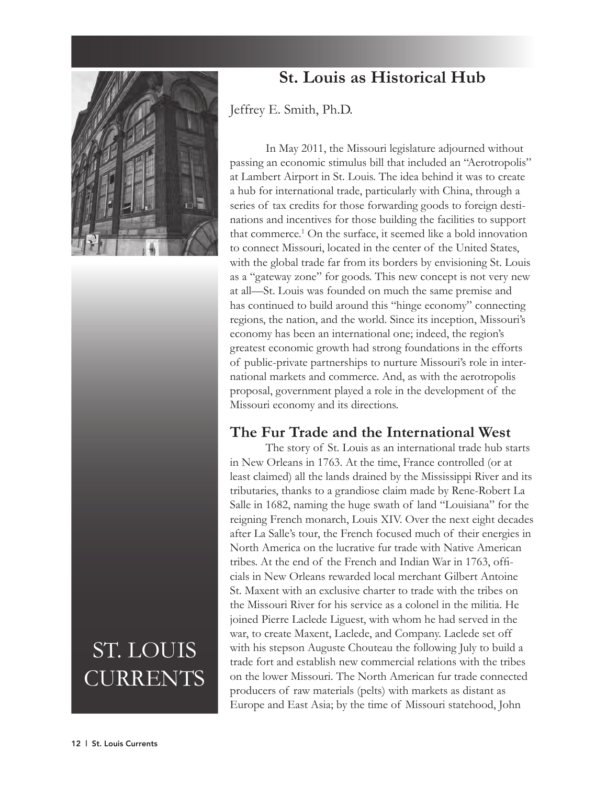

# ST. LOUIS CURRENTS

# **St. Louis as Historical Hub**

Jeffrey E. Smith, Ph.D.

In May 2011, the Missouri legislature adjourned without passing an economic stimulus bill that included an "Aerotropolis" at Lambert Airport in St. Louis. The idea behind it was to create a hub for international trade, particularly with China, through a series of tax credits for those forwarding goods to foreign destinations and incentives for those building the facilities to support that commerce.<sup>1</sup> On the surface, it seemed like a bold innovation to connect Missouri, located in the center of the United States, with the global trade far from its borders by envisioning St. Louis as a "gateway zone" for goods. This new concept is not very new at all—St. Louis was founded on much the same premise and has continued to build around this "hinge economy" connecting regions, the nation, and the world. Since its inception, Missouri's economy has been an international one; indeed, the region's greatest economic growth had strong foundations in the efforts of public-private partnerships to nurture Missouri's role in international markets and commerce. And, as with the aerotropolis proposal, government played a role in the development of the Missouri economy and its directions.

### **The Fur Trade and the International West**

The story of St. Louis as an international trade hub starts in New Orleans in 1763. At the time, France controlled (or at least claimed) all the lands drained by the Mississippi River and its tributaries, thanks to a grandiose claim made by Rene-Robert La Salle in 1682, naming the huge swath of land "Louisiana" for the reigning French monarch, Louis XIV. Over the next eight decades after La Salle's tour, the French focused much of their energies in North America on the lucrative fur trade with Native American tribes. At the end of the French and Indian War in 1763, officials in New Orleans rewarded local merchant Gilbert Antoine St. Maxent with an exclusive charter to trade with the tribes on the Missouri River for his service as a colonel in the militia. He joined Pierre Laclede Liguest, with whom he had served in the war, to create Maxent, Laclede, and Company. Laclede set off with his stepson Auguste Chouteau the following July to build a trade fort and establish new commercial relations with the tribes on the lower Missouri. The North American fur trade connected producers of raw materials (pelts) with markets as distant as Europe and East Asia; by the time of Missouri statehood, John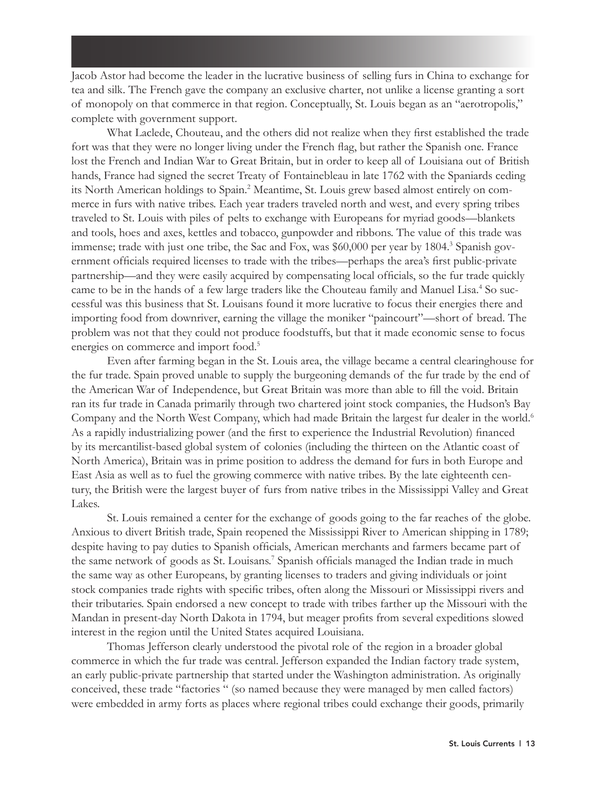Jacob Astor had become the leader in the lucrative business of selling furs in China to exchange for tea and silk. The French gave the company an exclusive charter, not unlike a license granting a sort of monopoly on that commerce in that region. Conceptually, St. Louis began as an "aerotropolis," complete with government support.

What Laclede, Chouteau, and the others did not realize when they first established the trade fort was that they were no longer living under the French flag, but rather the Spanish one. France lost the French and Indian War to Great Britain, but in order to keep all of Louisiana out of British hands, France had signed the secret Treaty of Fontainebleau in late 1762 with the Spaniards ceding its North American holdings to Spain.<sup>2</sup> Meantime, St. Louis grew based almost entirely on commerce in furs with native tribes. Each year traders traveled north and west, and every spring tribes traveled to St. Louis with piles of pelts to exchange with Europeans for myriad goods—blankets and tools, hoes and axes, kettles and tobacco, gunpowder and ribbons. The value of this trade was immense; trade with just one tribe, the Sac and Fox, was \$60,000 per year by 1804.<sup>3</sup> Spanish government officials required licenses to trade with the tribes—perhaps the area's first public-private partnership—and they were easily acquired by compensating local officials, so the fur trade quickly came to be in the hands of a few large traders like the Chouteau family and Manuel Lisa.<sup>4</sup> So successful was this business that St. Louisans found it more lucrative to focus their energies there and importing food from downriver, earning the village the moniker "paincourt"—short of bread. The problem was not that they could not produce foodstuffs, but that it made economic sense to focus energies on commerce and import food.<sup>5</sup>

Even after farming began in the St. Louis area, the village became a central clearinghouse for the fur trade. Spain proved unable to supply the burgeoning demands of the fur trade by the end of the American War of Independence, but Great Britain was more than able to fill the void. Britain ran its fur trade in Canada primarily through two chartered joint stock companies, the Hudson's Bay Company and the North West Company, which had made Britain the largest fur dealer in the world.<sup>6</sup> As a rapidly industrializing power (and the first to experience the Industrial Revolution) financed by its mercantilist-based global system of colonies (including the thirteen on the Atlantic coast of North America), Britain was in prime position to address the demand for furs in both Europe and East Asia as well as to fuel the growing commerce with native tribes. By the late eighteenth century, the British were the largest buyer of furs from native tribes in the Mississippi Valley and Great Lakes.

St. Louis remained a center for the exchange of goods going to the far reaches of the globe. Anxious to divert British trade, Spain reopened the Mississippi River to American shipping in 1789; despite having to pay duties to Spanish officials, American merchants and farmers became part of the same network of goods as St. Louisans.<sup>7</sup> Spanish officials managed the Indian trade in much the same way as other Europeans, by granting licenses to traders and giving individuals or joint stock companies trade rights with specific tribes, often along the Missouri or Mississippi rivers and their tributaries. Spain endorsed a new concept to trade with tribes farther up the Missouri with the Mandan in present-day North Dakota in 1794, but meager profits from several expeditions slowed interest in the region until the United States acquired Louisiana.

Thomas Jefferson clearly understood the pivotal role of the region in a broader global commerce in which the fur trade was central. Jefferson expanded the Indian factory trade system, an early public-private partnership that started under the Washington administration. As originally conceived, these trade "factories " (so named because they were managed by men called factors) were embedded in army forts as places where regional tribes could exchange their goods, primarily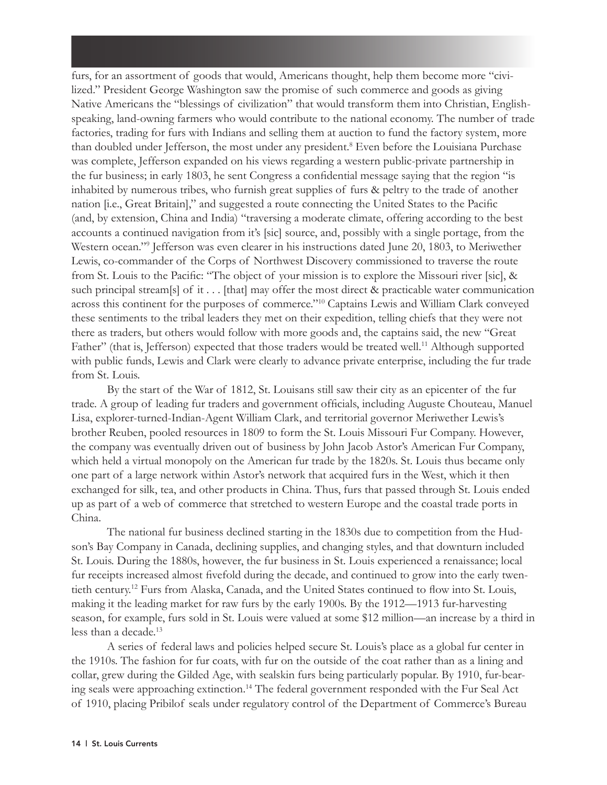# furs, for an assortment of goods that would, Americans thought, help them become more "civi-

lized." President George Washington saw the promise of such commerce and goods as giving Native Americans the "blessings of civilization" that would transform them into Christian, Englishspeaking, land-owning farmers who would contribute to the national economy. The number of trade factories, trading for furs with Indians and selling them at auction to fund the factory system, more than doubled under Jefferson, the most under any president.<sup>8</sup> Even before the Louisiana Purchase was complete, Jefferson expanded on his views regarding a western public-private partnership in the fur business; in early 1803, he sent Congress a confidential message saying that the region "is inhabited by numerous tribes, who furnish great supplies of furs & peltry to the trade of another nation [i.e., Great Britain]," and suggested a route connecting the United States to the Pacific (and, by extension, China and India) "traversing a moderate climate, offering according to the best accounts a continued navigation from it's [sic] source, and, possibly with a single portage, from the Western ocean."<sup>9</sup> Jefferson was even clearer in his instructions dated June 20, 1803, to Meriwether Lewis, co-commander of the Corps of Northwest Discovery commissioned to traverse the route from St. Louis to the Pacific: "The object of your mission is to explore the Missouri river [sic], & such principal stream[s] of it . . . [that] may offer the most direct & practicable water communication across this continent for the purposes of commerce."<sup>10</sup> Captains Lewis and William Clark conveyed these sentiments to the tribal leaders they met on their expedition, telling chiefs that they were not there as traders, but others would follow with more goods and, the captains said, the new "Great Father" (that is, Jefferson) expected that those traders would be treated well.<sup>11</sup> Although supported with public funds, Lewis and Clark were clearly to advance private enterprise, including the fur trade from St. Louis.

By the start of the War of 1812, St. Louisans still saw their city as an epicenter of the fur trade. A group of leading fur traders and government officials, including Auguste Chouteau, Manuel Lisa, explorer-turned-Indian-Agent William Clark, and territorial governor Meriwether Lewis's brother Reuben, pooled resources in 1809 to form the St. Louis Missouri Fur Company. However, the company was eventually driven out of business by John Jacob Astor's American Fur Company, which held a virtual monopoly on the American fur trade by the 1820s. St. Louis thus became only one part of a large network within Astor's network that acquired furs in the West, which it then exchanged for silk, tea, and other products in China. Thus, furs that passed through St. Louis ended up as part of a web of commerce that stretched to western Europe and the coastal trade ports in China.

The national fur business declined starting in the 1830s due to competition from the Hudson's Bay Company in Canada, declining supplies, and changing styles, and that downturn included St. Louis. During the 1880s, however, the fur business in St. Louis experienced a renaissance; local fur receipts increased almost fivefold during the decade, and continued to grow into the early twentieth century.12 Furs from Alaska, Canada, and the United States continued to flow into St. Louis, making it the leading market for raw furs by the early 1900s. By the 1912—1913 fur-harvesting season, for example, furs sold in St. Louis were valued at some \$12 million—an increase by a third in less than a decade.13

A series of federal laws and policies helped secure St. Louis's place as a global fur center in the 1910s. The fashion for fur coats, with fur on the outside of the coat rather than as a lining and collar, grew during the Gilded Age, with sealskin furs being particularly popular. By 1910, fur-bearing seals were approaching extinction.14 The federal government responded with the Fur Seal Act of 1910, placing Pribilof seals under regulatory control of the Department of Commerce's Bureau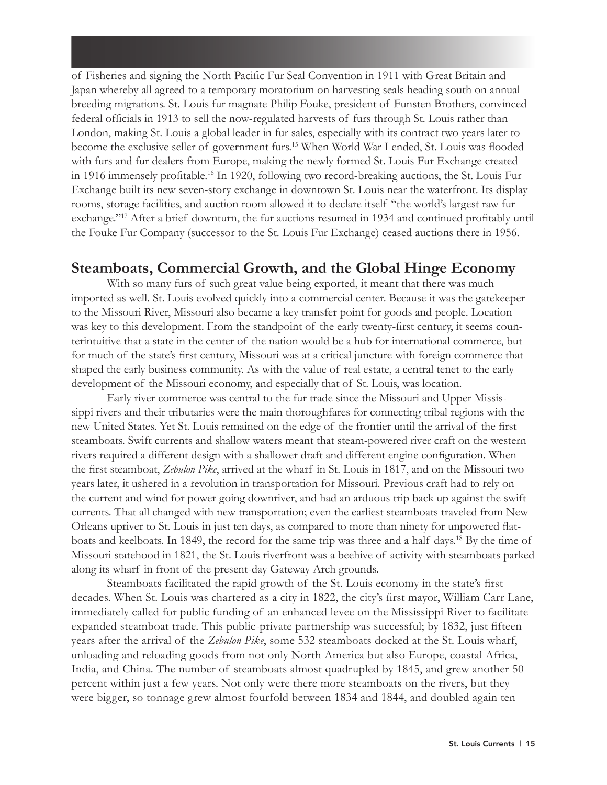of Fisheries and signing the North Pacific Fur Seal Convention in 1911 with Great Britain and Japan whereby all agreed to a temporary moratorium on harvesting seals heading south on annual breeding migrations. St. Louis fur magnate Philip Fouke, president of Funsten Brothers, convinced federal officials in 1913 to sell the now-regulated harvests of furs through St. Louis rather than London, making St. Louis a global leader in fur sales, especially with its contract two years later to become the exclusive seller of government furs.<sup>15</sup> When World War I ended, St. Louis was flooded with furs and fur dealers from Europe, making the newly formed St. Louis Fur Exchange created in 1916 immensely profitable.<sup>16</sup> In 1920, following two record-breaking auctions, the St. Louis Fur Exchange built its new seven-story exchange in downtown St. Louis near the waterfront. Its display rooms, storage facilities, and auction room allowed it to declare itself "the world's largest raw fur exchange."<sup>17</sup> After a brief downturn, the fur auctions resumed in 1934 and continued profitably until the Fouke Fur Company (successor to the St. Louis Fur Exchange) ceased auctions there in 1956.

#### **Steamboats, Commercial Growth, and the Global Hinge Economy**

With so many furs of such great value being exported, it meant that there was much imported as well. St. Louis evolved quickly into a commercial center. Because it was the gatekeeper to the Missouri River, Missouri also became a key transfer point for goods and people. Location was key to this development. From the standpoint of the early twenty-first century, it seems counterintuitive that a state in the center of the nation would be a hub for international commerce, but for much of the state's first century, Missouri was at a critical juncture with foreign commerce that shaped the early business community. As with the value of real estate, a central tenet to the early development of the Missouri economy, and especially that of St. Louis, was location.

Early river commerce was central to the fur trade since the Missouri and Upper Mississippi rivers and their tributaries were the main thoroughfares for connecting tribal regions with the new United States. Yet St. Louis remained on the edge of the frontier until the arrival of the first steamboats. Swift currents and shallow waters meant that steam-powered river craft on the western rivers required a different design with a shallower draft and different engine configuration. When the first steamboat, *Zebulon Pike*, arrived at the wharf in St. Louis in 1817, and on the Missouri two years later, it ushered in a revolution in transportation for Missouri. Previous craft had to rely on the current and wind for power going downriver, and had an arduous trip back up against the swift currents. That all changed with new transportation; even the earliest steamboats traveled from New Orleans upriver to St. Louis in just ten days, as compared to more than ninety for unpowered flatboats and keelboats. In 1849, the record for the same trip was three and a half days.<sup>18</sup> By the time of Missouri statehood in 1821, the St. Louis riverfront was a beehive of activity with steamboats parked along its wharf in front of the present-day Gateway Arch grounds.

Steamboats facilitated the rapid growth of the St. Louis economy in the state's first decades. When St. Louis was chartered as a city in 1822, the city's first mayor, William Carr Lane, immediately called for public funding of an enhanced levee on the Mississippi River to facilitate expanded steamboat trade. This public-private partnership was successful; by 1832, just fifteen years after the arrival of the *Zebulon Pike*, some 532 steamboats docked at the St. Louis wharf, unloading and reloading goods from not only North America but also Europe, coastal Africa, India, and China. The number of steamboats almost quadrupled by 1845, and grew another 50 percent within just a few years. Not only were there more steamboats on the rivers, but they were bigger, so tonnage grew almost fourfold between 1834 and 1844, and doubled again ten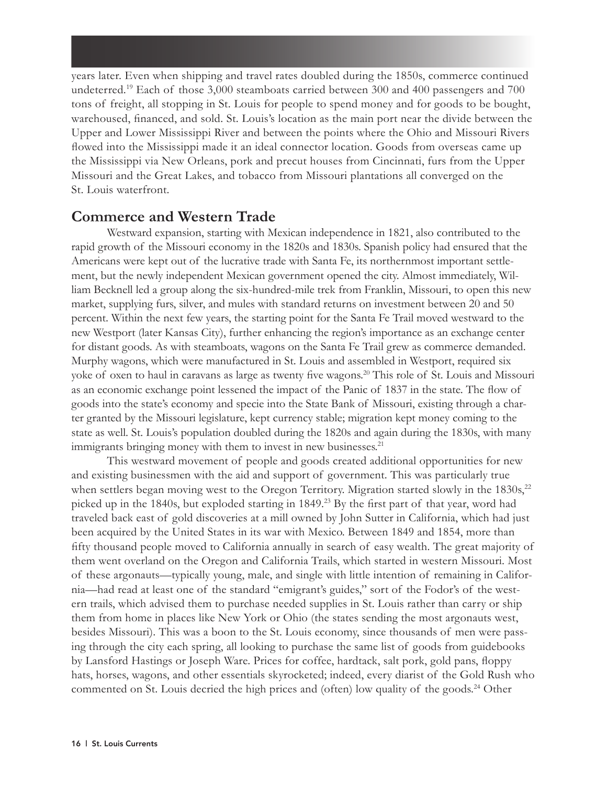years later. Even when shipping and travel rates doubled during the 1850s, commerce continued undeterred.19 Each of those 3,000 steamboats carried between 300 and 400 passengers and 700 tons of freight, all stopping in St. Louis for people to spend money and for goods to be bought, warehoused, financed, and sold. St. Louis's location as the main port near the divide between the Upper and Lower Mississippi River and between the points where the Ohio and Missouri Rivers flowed into the Mississippi made it an ideal connector location. Goods from overseas came up the Mississippi via New Orleans, pork and precut houses from Cincinnati, furs from the Upper Missouri and the Great Lakes, and tobacco from Missouri plantations all converged on the St. Louis waterfront.

#### **Commerce and Western Trade**

Westward expansion, starting with Mexican independence in 1821, also contributed to the rapid growth of the Missouri economy in the 1820s and 1830s. Spanish policy had ensured that the Americans were kept out of the lucrative trade with Santa Fe, its northernmost important settlement, but the newly independent Mexican government opened the city. Almost immediately, William Becknell led a group along the six-hundred-mile trek from Franklin, Missouri, to open this new market, supplying furs, silver, and mules with standard returns on investment between 20 and 50 percent. Within the next few years, the starting point for the Santa Fe Trail moved westward to the new Westport (later Kansas City), further enhancing the region's importance as an exchange center for distant goods. As with steamboats, wagons on the Santa Fe Trail grew as commerce demanded. Murphy wagons, which were manufactured in St. Louis and assembled in Westport, required six yoke of oxen to haul in caravans as large as twenty five wagons.20 This role of St. Louis and Missouri as an economic exchange point lessened the impact of the Panic of 1837 in the state. The flow of goods into the state's economy and specie into the State Bank of Missouri, existing through a charter granted by the Missouri legislature, kept currency stable; migration kept money coming to the state as well. St. Louis's population doubled during the 1820s and again during the 1830s, with many immigrants bringing money with them to invest in new businesses.<sup>21</sup>

This westward movement of people and goods created additional opportunities for new and existing businessmen with the aid and support of government. This was particularly true when settlers began moving west to the Oregon Territory. Migration started slowly in the  $1830s$ ,<sup>22</sup> picked up in the 1840s, but exploded starting in 1849.<sup>23</sup> By the first part of that year, word had traveled back east of gold discoveries at a mill owned by John Sutter in California, which had just been acquired by the United States in its war with Mexico. Between 1849 and 1854, more than fifty thousand people moved to California annually in search of easy wealth. The great majority of them went overland on the Oregon and California Trails, which started in western Missouri. Most of these argonauts—typically young, male, and single with little intention of remaining in California—had read at least one of the standard "emigrant's guides," sort of the Fodor's of the western trails, which advised them to purchase needed supplies in St. Louis rather than carry or ship them from home in places like New York or Ohio (the states sending the most argonauts west, besides Missouri). This was a boon to the St. Louis economy, since thousands of men were passing through the city each spring, all looking to purchase the same list of goods from guidebooks by Lansford Hastings or Joseph Ware. Prices for coffee, hardtack, salt pork, gold pans, floppy hats, horses, wagons, and other essentials skyrocketed; indeed, every diarist of the Gold Rush who commented on St. Louis decried the high prices and (often) low quality of the goods.<sup>24</sup> Other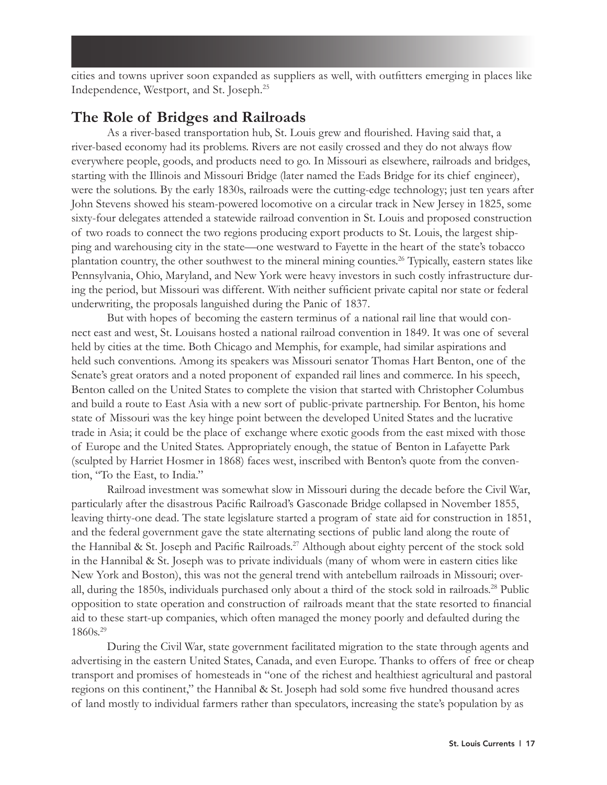cities and towns upriver soon expanded as suppliers as well, with outfitters emerging in places like Independence, Westport, and St. Joseph.25

#### **The Role of Bridges and Railroads**

As a river-based transportation hub, St. Louis grew and flourished. Having said that, a river-based economy had its problems. Rivers are not easily crossed and they do not always flow everywhere people, goods, and products need to go. In Missouri as elsewhere, railroads and bridges, starting with the Illinois and Missouri Bridge (later named the Eads Bridge for its chief engineer), were the solutions. By the early 1830s, railroads were the cutting-edge technology; just ten years after John Stevens showed his steam-powered locomotive on a circular track in New Jersey in 1825, some sixty-four delegates attended a statewide railroad convention in St. Louis and proposed construction of two roads to connect the two regions producing export products to St. Louis, the largest shipping and warehousing city in the state—one westward to Fayette in the heart of the state's tobacco plantation country, the other southwest to the mineral mining counties.<sup>26</sup> Typically, eastern states like Pennsylvania, Ohio, Maryland, and New York were heavy investors in such costly infrastructure during the period, but Missouri was different. With neither sufficient private capital nor state or federal underwriting, the proposals languished during the Panic of 1837.

But with hopes of becoming the eastern terminus of a national rail line that would connect east and west, St. Louisans hosted a national railroad convention in 1849. It was one of several held by cities at the time. Both Chicago and Memphis, for example, had similar aspirations and held such conventions. Among its speakers was Missouri senator Thomas Hart Benton, one of the Senate's great orators and a noted proponent of expanded rail lines and commerce. In his speech, Benton called on the United States to complete the vision that started with Christopher Columbus and build a route to East Asia with a new sort of public-private partnership. For Benton, his home state of Missouri was the key hinge point between the developed United States and the lucrative trade in Asia; it could be the place of exchange where exotic goods from the east mixed with those of Europe and the United States. Appropriately enough, the statue of Benton in Lafayette Park (sculpted by Harriet Hosmer in 1868) faces west, inscribed with Benton's quote from the convention, "To the East, to India."

Railroad investment was somewhat slow in Missouri during the decade before the Civil War, particularly after the disastrous Pacific Railroad's Gasconade Bridge collapsed in November 1855, leaving thirty-one dead. The state legislature started a program of state aid for construction in 1851, and the federal government gave the state alternating sections of public land along the route of the Hannibal & St. Joseph and Pacific Railroads.<sup>27</sup> Although about eighty percent of the stock sold in the Hannibal & St. Joseph was to private individuals (many of whom were in eastern cities like New York and Boston), this was not the general trend with antebellum railroads in Missouri; overall, during the 1850s, individuals purchased only about a third of the stock sold in railroads.28 Public opposition to state operation and construction of railroads meant that the state resorted to financial aid to these start-up companies, which often managed the money poorly and defaulted during the 1860s.29

During the Civil War, state government facilitated migration to the state through agents and advertising in the eastern United States, Canada, and even Europe. Thanks to offers of free or cheap transport and promises of homesteads in "one of the richest and healthiest agricultural and pastoral regions on this continent," the Hannibal & St. Joseph had sold some five hundred thousand acres of land mostly to individual farmers rather than speculators, increasing the state's population by as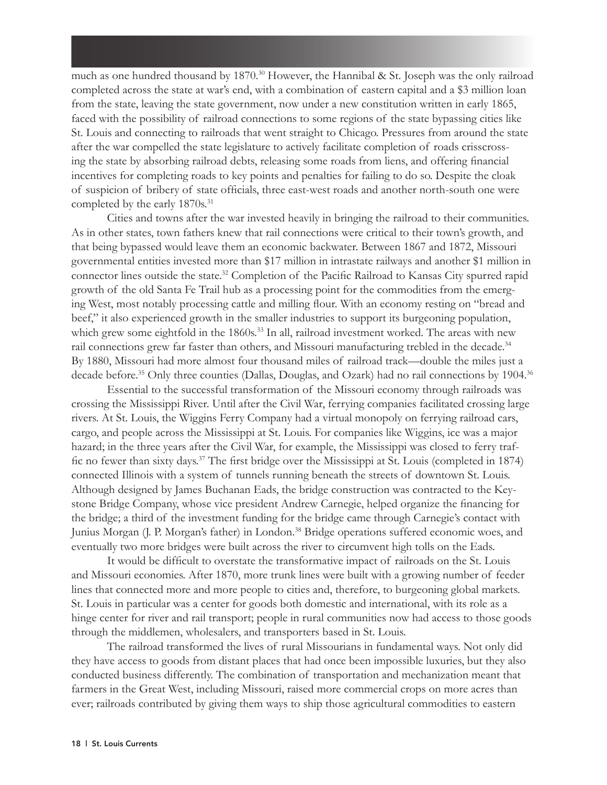much as one hundred thousand by  $1870^{30}$  However, the Hannibal & St. Joseph was the only railroad completed across the state at war's end, with a combination of eastern capital and a \$3 million loan from the state, leaving the state government, now under a new constitution written in early 1865, faced with the possibility of railroad connections to some regions of the state bypassing cities like St. Louis and connecting to railroads that went straight to Chicago. Pressures from around the state after the war compelled the state legislature to actively facilitate completion of roads crisscrossing the state by absorbing railroad debts, releasing some roads from liens, and offering financial incentives for completing roads to key points and penalties for failing to do so. Despite the cloak of suspicion of bribery of state officials, three east-west roads and another north-south one were completed by the early 1870s.<sup>31</sup>

Cities and towns after the war invested heavily in bringing the railroad to their communities. As in other states, town fathers knew that rail connections were critical to their town's growth, and that being bypassed would leave them an economic backwater. Between 1867 and 1872, Missouri governmental entities invested more than \$17 million in intrastate railways and another \$1 million in connector lines outside the state.32 Completion of the Pacific Railroad to Kansas City spurred rapid growth of the old Santa Fe Trail hub as a processing point for the commodities from the emerging West, most notably processing cattle and milling flour. With an economy resting on "bread and beef," it also experienced growth in the smaller industries to support its burgeoning population, which grew some eightfold in the 1860s.<sup>33</sup> In all, railroad investment worked. The areas with new rail connections grew far faster than others, and Missouri manufacturing trebled in the decade.<sup>34</sup> By 1880, Missouri had more almost four thousand miles of railroad track—double the miles just a decade before.<sup>35</sup> Only three counties (Dallas, Douglas, and Ozark) had no rail connections by 1904.<sup>36</sup>

Essential to the successful transformation of the Missouri economy through railroads was crossing the Mississippi River. Until after the Civil War, ferrying companies facilitated crossing large rivers. At St. Louis, the Wiggins Ferry Company had a virtual monopoly on ferrying railroad cars, cargo, and people across the Mississippi at St. Louis. For companies like Wiggins, ice was a major hazard; in the three years after the Civil War, for example, the Mississippi was closed to ferry traffic no fewer than sixty days.<sup>37</sup> The first bridge over the Mississippi at St. Louis (completed in 1874) connected Illinois with a system of tunnels running beneath the streets of downtown St. Louis. Although designed by James Buchanan Eads, the bridge construction was contracted to the Keystone Bridge Company, whose vice president Andrew Carnegie, helped organize the financing for the bridge; a third of the investment funding for the bridge came through Carnegie's contact with Junius Morgan (J. P. Morgan's father) in London.<sup>38</sup> Bridge operations suffered economic woes, and eventually two more bridges were built across the river to circumvent high tolls on the Eads.

It would be difficult to overstate the transformative impact of railroads on the St. Louis and Missouri economies. After 1870, more trunk lines were built with a growing number of feeder lines that connected more and more people to cities and, therefore, to burgeoning global markets. St. Louis in particular was a center for goods both domestic and international, with its role as a hinge center for river and rail transport; people in rural communities now had access to those goods through the middlemen, wholesalers, and transporters based in St. Louis.

The railroad transformed the lives of rural Missourians in fundamental ways. Not only did they have access to goods from distant places that had once been impossible luxuries, but they also conducted business differently. The combination of transportation and mechanization meant that farmers in the Great West, including Missouri, raised more commercial crops on more acres than ever; railroads contributed by giving them ways to ship those agricultural commodities to eastern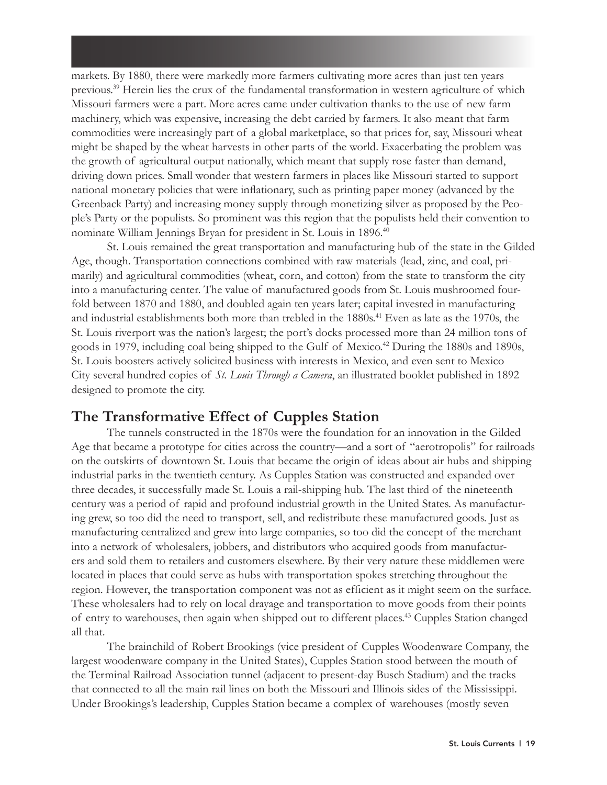markets. By 1880, there were markedly more farmers cultivating more acres than just ten years previous.39 Herein lies the crux of the fundamental transformation in western agriculture of which Missouri farmers were a part. More acres came under cultivation thanks to the use of new farm machinery, which was expensive, increasing the debt carried by farmers. It also meant that farm commodities were increasingly part of a global marketplace, so that prices for, say, Missouri wheat might be shaped by the wheat harvests in other parts of the world. Exacerbating the problem was the growth of agricultural output nationally, which meant that supply rose faster than demand, driving down prices. Small wonder that western farmers in places like Missouri started to support national monetary policies that were inflationary, such as printing paper money (advanced by the Greenback Party) and increasing money supply through monetizing silver as proposed by the People's Party or the populists. So prominent was this region that the populists held their convention to nominate William Jennings Bryan for president in St. Louis in 1896.40

St. Louis remained the great transportation and manufacturing hub of the state in the Gilded Age, though. Transportation connections combined with raw materials (lead, zinc, and coal, primarily) and agricultural commodities (wheat, corn, and cotton) from the state to transform the city into a manufacturing center. The value of manufactured goods from St. Louis mushroomed fourfold between 1870 and 1880, and doubled again ten years later; capital invested in manufacturing and industrial establishments both more than trebled in the 1880s. <sup>41</sup> Even as late as the 1970s, the St. Louis riverport was the nation's largest; the port's docks processed more than 24 million tons of goods in 1979, including coal being shipped to the Gulf of Mexico.<sup>42</sup> During the 1880s and 1890s, St. Louis boosters actively solicited business with interests in Mexico, and even sent to Mexico City several hundred copies of *St. Louis Through a Camera*, an illustrated booklet published in 1892 designed to promote the city.

#### **The Transformative Effect of Cupples Station**

The tunnels constructed in the 1870s were the foundation for an innovation in the Gilded Age that became a prototype for cities across the country—and a sort of "aerotropolis" for railroads on the outskirts of downtown St. Louis that became the origin of ideas about air hubs and shipping industrial parks in the twentieth century. As Cupples Station was constructed and expanded over three decades, it successfully made St. Louis a rail-shipping hub. The last third of the nineteenth century was a period of rapid and profound industrial growth in the United States. As manufacturing grew, so too did the need to transport, sell, and redistribute these manufactured goods. Just as manufacturing centralized and grew into large companies, so too did the concept of the merchant into a network of wholesalers, jobbers, and distributors who acquired goods from manufacturers and sold them to retailers and customers elsewhere. By their very nature these middlemen were located in places that could serve as hubs with transportation spokes stretching throughout the region. However, the transportation component was not as efficient as it might seem on the surface. These wholesalers had to rely on local drayage and transportation to move goods from their points of entry to warehouses, then again when shipped out to different places.<sup>43</sup> Cupples Station changed all that.

The brainchild of Robert Brookings (vice president of Cupples Woodenware Company, the largest woodenware company in the United States), Cupples Station stood between the mouth of the Terminal Railroad Association tunnel (adjacent to present-day Busch Stadium) and the tracks that connected to all the main rail lines on both the Missouri and Illinois sides of the Mississippi. Under Brookings's leadership, Cupples Station became a complex of warehouses (mostly seven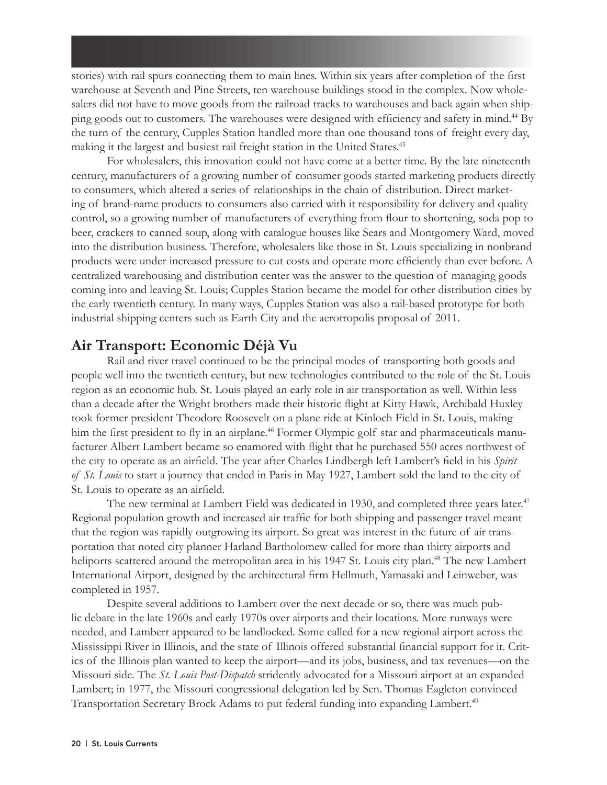stories) with rail spurs connecting them to main lines. Within six years after completion of the first warehouse at Seventh and Pine Streets, ten warehouse buildings stood in the complex. Now wholesalers did not have to move goods from the railroad tracks to warehouses and back again when shipping goods out to customers. The warehouses were designed with efficiency and safety in mind.44 By the turn of the century, Cupples Station handled more than one thousand tons of freight every day, making it the largest and busiest rail freight station in the United States.<sup>45</sup>

For wholesalers, this innovation could not have come at a better time. By the late nineteenth century, manufacturers of a growing number of consumer goods started marketing products directly to consumers, which altered a series of relationships in the chain of distribution. Direct marketing of brand-name products to consumers also carried with it responsibility for delivery and quality control, so a growing number of manufacturers of everything from flour to shortening, soda pop to beer, crackers to canned soup, along with catalogue houses like Sears and Montgomery Ward, moved into the distribution business. Therefore, wholesalers like those in St. Louis specializing in nonbrand products were under increased pressure to cut costs and operate more efficiently than ever before. A centralized warehousing and distribution center was the answer to the question of managing goods coming into and leaving St. Louis; Cupples Station became the model for other distribution cities by the early twentieth century. In many ways, Cupples Station was also a rail-based prototype for both industrial shipping centers such as Earth City and the aerotropolis proposal of 2011.

#### **Air Transport: Economic Déjà Vu**

Rail and river travel continued to be the principal modes of transporting both goods and people well into the twentieth century, but new technologies contributed to the role of the St. Louis region as an economic hub. St. Louis played an early role in air transportation as well. Within less than a decade after the Wright brothers made their historic flight at Kitty Hawk, Archibald Huxley took former president Theodore Roosevelt on a plane ride at Kinloch Field in St. Louis, making him the first president to fly in an airplane.<sup>46</sup> Former Olympic golf star and pharmaceuticals manufacturer Albert Lambert became so enamored with flight that he purchased 550 acres northwest of the city to operate as an airfield. The year after Charles Lindbergh left Lambert's field in his *Spirit of St. Louis* to start a journey that ended in Paris in May 1927, Lambert sold the land to the city of St. Louis to operate as an airfield.

The new terminal at Lambert Field was dedicated in 1930, and completed three years later.<sup>47</sup> Regional population growth and increased air traffic for both shipping and passenger travel meant that the region was rapidly outgrowing its airport. So great was interest in the future of air transportation that noted city planner Harland Bartholomew called for more than thirty airports and heliports scattered around the metropolitan area in his 1947 St. Louis city plan.<sup>48</sup> The new Lambert International Airport, designed by the architectural firm Hellmuth, Yamasaki and Leinweber, was completed in 1957.

Despite several additions to Lambert over the next decade or so, there was much public debate in the late 1960s and early 1970s over airports and their locations. More runways were needed, and Lambert appeared to be landlocked. Some called for a new regional airport across the Mississippi River in Illinois, and the state of Illinois offered substantial financial support for it. Critics of the Illinois plan wanted to keep the airport—and its jobs, business, and tax revenues—on the Missouri side. The *St. Louis Post-Dispatch* stridently advocated for a Missouri airport at an expanded Lambert; in 1977, the Missouri congressional delegation led by Sen. Thomas Eagleton convinced Transportation Secretary Brock Adams to put federal funding into expanding Lambert.<sup>49</sup>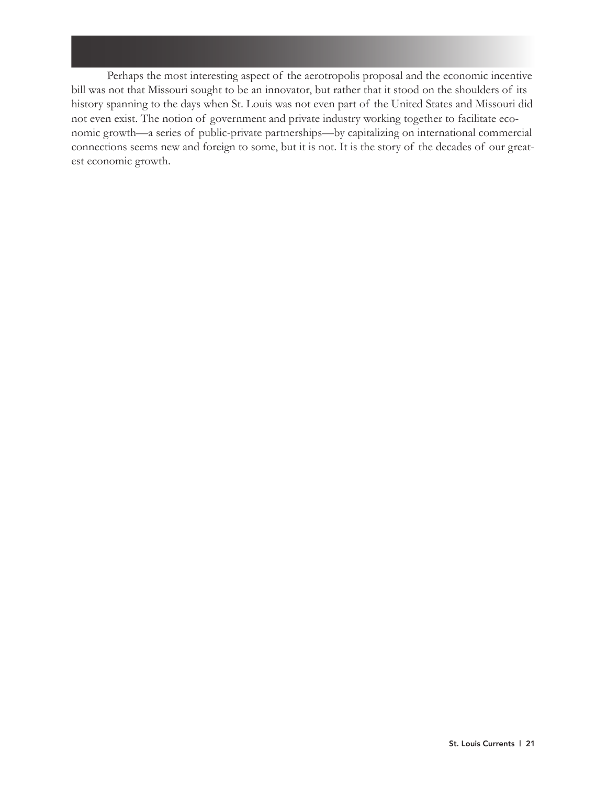#### Perhaps the most interesting aspect of the aerotropolis proposal and the economic incentive bill was not that Missouri sought to be an innovator, but rather that it stood on the shoulders of its history spanning to the days when St. Louis was not even part of the United States and Missouri did not even exist. The notion of government and private industry working together to facilitate economic growth—a series of public-private partnerships—by capitalizing on international commercial connections seems new and foreign to some, but it is not. It is the story of the decades of our greatest economic growth.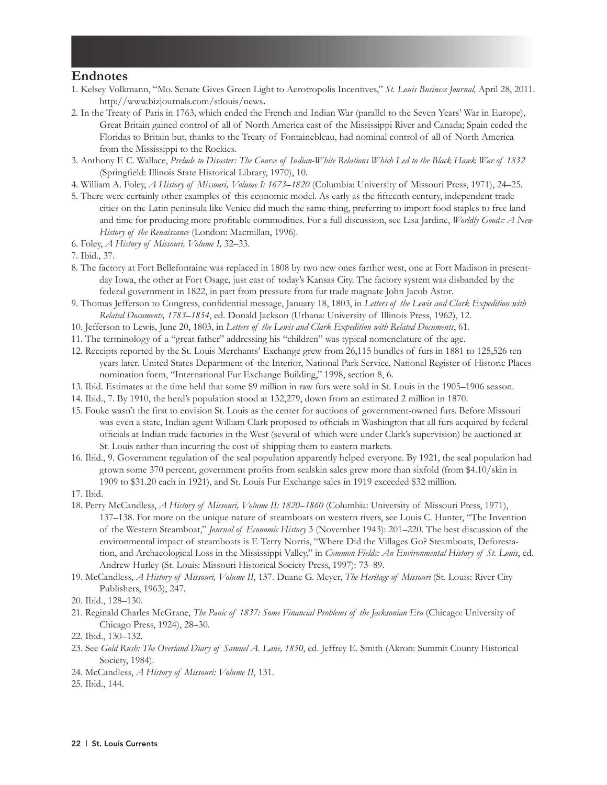#### **Endnotes**

- 1. Kelsey Volkmann, "Mo. Senate Gives Green Light to Aerotropolis Incentives," *St. Louis Business Journal,* April 28, 2011. http://www.bizjournals.com/stlouis/news**.**
- 2. In the Treaty of Paris in 1763, which ended the French and Indian War (parallel to the Seven Years' War in Europe), Great Britain gained control of all of North America east of the Mississippi River and Canada; Spain ceded the Floridas to Britain but, thanks to the Treaty of Fontainebleau, had nominal control of all of North America from the Mississippi to the Rockies.
- 3. Anthony F. C. Wallace, *Prelude to Disaster: The Course of Indian-White Relations Which Led to the Black Hawk War of 1832* (Springfield: Illinois State Historical Library, 1970), 10.
- 4. William A. Foley, *A History of Missouri, Volume I: 1673–1820* (Columbia: University of Missouri Press, 1971), 24–25.
- 5. There were certainly other examples of this economic model. As early as the fifteenth century, independent trade cities on the Latin peninsula like Venice did much the same thing, preferring to import food staples to free land and time for producing more profitable commodities. For a full discussion, see Lisa Jardine, *Worldly Goods: A New History of the Renaissance* (London: Macmillan, 1996).
- 6. Foley, *A History of Missouri, Volume I,* 32–33.
- 7. Ibid., 37.
- 8. The factory at Fort Bellefontaine was replaced in 1808 by two new ones farther west, one at Fort Madison in presentday Iowa, the other at Fort Osage, just east of today's Kansas City. The factory system was disbanded by the federal government in 1822, in part from pressure from fur trade magnate John Jacob Astor.
- 9. Thomas Jefferson to Congress, confidential message, January 18, 1803, in *Letters of the Lewis and Clark Expedition with Related Documents, 1783–1854*, ed. Donald Jackson (Urbana: University of Illinois Press, 1962), 12.
- 10. Jefferson to Lewis, June 20, 1803, in *Letters of the Lewis and Clark Expedition with Related Documents*, 61.
- 11. The terminology of a "great father" addressing his "children" was typical nomenclature of the age.
- 12. Receipts reported by the St. Louis Merchants' Exchange grew from 26,115 bundles of furs in 1881 to 125,526 ten years later. United States Department of the Interior, National Park Service, National Register of Historic Places nomination form, "International Fur Exchange Building," 1998, section 8, 6.
- 13. Ibid. Estimates at the time held that some \$9 million in raw furs were sold in St. Louis in the 1905–1906 season.
- 14. Ibid., 7. By 1910, the herd's population stood at 132,279, down from an estimated 2 million in 1870.
- 15. Fouke wasn't the first to envision St. Louis as the center for auctions of government-owned furs. Before Missouri was even a state, Indian agent William Clark proposed to officials in Washington that all furs acquired by federal officials at Indian trade factories in the West (several of which were under Clark's supervision) be auctioned at St. Louis rather than incurring the cost of shipping them to eastern markets.
- 16. Ibid., 9. Government regulation of the seal population apparently helped everyone. By 1921, the seal population had grown some 370 percent, government profits from sealskin sales grew more than sixfold (from \$4.10/skin in 1909 to \$31.20 each in 1921), and St. Louis Fur Exchange sales in 1919 exceeded \$32 million.
- 17. Ibid.
- 18. Perry McCandless, *A History of Missouri, Volume II: 1820–1860* (Columbia: University of Missouri Press, 1971), 137–138. For more on the unique nature of steamboats on western rivers, see Louis C. Hunter, "The Invention of the Western Steamboat," *Journal of Economic History* 3 (November 1943): 201–220. The best discussion of the environmental impact of steamboats is F. Terry Norris, "Where Did the Villages Go? Steamboats, Deforestation, and Archaeological Loss in the Mississippi Valley," in *Common Fields: An Environmental History of St. Louis*, ed. Andrew Hurley (St. Louis: Missouri Historical Society Press, 1997): 73–89.
- 19. McCandless, *A History of Missouri, Volume II*, 137. Duane G. Meyer, *The Heritage of Missouri* (St. Louis: River City Publishers, 1963), 247.
- 20. Ibid., 128–130.
- 21. Reginald Charles McGrane, *The Panic of 1837: Some Financial Problems of the Jacksonian Era* (Chicago: University of Chicago Press, 1924), 28–30.

- 23. See *Gold Rush: The Overland Diary of Samuel A. Lane, 1850*, ed. Jeffrey E. Smith (Akron: Summit County Historical Society, 1984).
- 24. McCandless, *A History of Missouri: Volume II*, 131.
- 25. Ibid., 144.

<sup>22.</sup> Ibid., 130–132.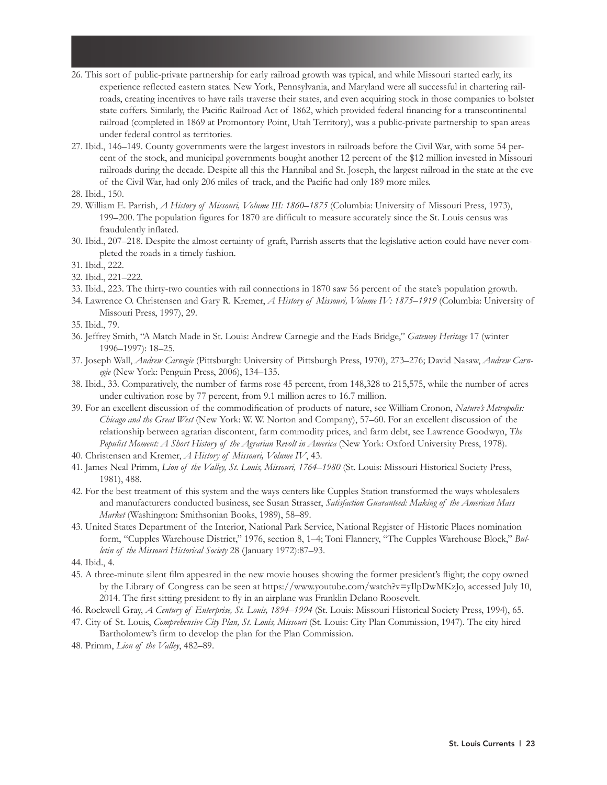- 26. This sort of public-private partnership for early railroad growth was typical, and while Missouri started early, its experience reflected eastern states. New York, Pennsylvania, and Maryland were all successful in chartering railroads, creating incentives to have rails traverse their states, and even acquiring stock in those companies to bolster state coffers. Similarly, the Pacific Railroad Act of 1862, which provided federal financing for a transcontinental railroad (completed in 1869 at Promontory Point, Utah Territory), was a public-private partnership to span areas under federal control as territories.
- 27. Ibid., 146–149. County governments were the largest investors in railroads before the Civil War, with some 54 percent of the stock, and municipal governments bought another 12 percent of the \$12 million invested in Missouri railroads during the decade. Despite all this the Hannibal and St. Joseph, the largest railroad in the state at the eve of the Civil War, had only 206 miles of track, and the Pacific had only 189 more miles.
- 28. Ibid., 150.
- 29. William E. Parrish, *A History of Missouri, Volume III: 1860–1875* (Columbia: University of Missouri Press, 1973), 199–200. The population figures for 1870 are difficult to measure accurately since the St. Louis census was fraudulently inflated.
- 30. Ibid., 207–218. Despite the almost certainty of graft, Parrish asserts that the legislative action could have never completed the roads in a timely fashion.
- 31. Ibid., 222.
- 32. Ibid., 221–222.
- 33. Ibid., 223. The thirty-two counties with rail connections in 1870 saw 56 percent of the state's population growth.
- 34. Lawrence O. Christensen and Gary R. Kremer, *A History of Missouri, Volume IV: 1875–1919* (Columbia: University of Missouri Press, 1997), 29.
- 35. Ibid., 79.
- 36. Jeffrey Smith, "A Match Made in St. Louis: Andrew Carnegie and the Eads Bridge," *Gateway Heritage* 17 (winter 1996–1997): 18–25.
- 37. Joseph Wall, *Andrew Carnegie* (Pittsburgh: University of Pittsburgh Press, 1970), 273–276; David Nasaw, *Andrew Carnegie* (New York: Penguin Press, 2006), 134–135.
- 38. Ibid., 33. Comparatively, the number of farms rose 45 percent, from 148,328 to 215,575, while the number of acres under cultivation rose by 77 percent, from 9.1 million acres to 16.7 million.
- 39. For an excellent discussion of the commodification of products of nature, see William Cronon, *Nature's Metropolis: Chicago and the Great West* (New York: W. W. Norton and Company), 57–60. For an excellent discussion of the relationship between agrarian discontent, farm commodity prices, and farm debt, see Lawrence Goodwyn, *The*  Populist Moment: A Short History of the Agrarian Revolt in America (New York: Oxford University Press, 1978).
- 40. Christensen and Kremer, *A History of Missouri, Volume IV*, 43.
- 41. James Neal Primm, *Lion of the Valley, St. Louis, Missouri, 1764–1980* (St. Louis: Missouri Historical Society Press, 1981), 488.
- 42. For the best treatment of this system and the ways centers like Cupples Station transformed the ways wholesalers and manufacturers conducted business, see Susan Strasser, *Satisfaction Guaranteed: Making of the American Mass Market* (Washington: Smithsonian Books, 1989), 58–89.
- 43. United States Department of the Interior, National Park Service, National Register of Historic Places nomination form, "Cupples Warehouse District," 1976, section 8, 1–4; Toni Flannery, "The Cupples Warehouse Block," *Bulletin of the Missouri Historical Society* 28 (January 1972):87–93.
- 44. Ibid., 4.
- 45. A three-minute silent film appeared in the new movie houses showing the former president's flight; the copy owned by the Library of Congress can be seen at https://www.youtube.com/watch?v=yIlpDwMKzJo, accessed July 10, 2014. The first sitting president to fly in an airplane was Franklin Delano Roosevelt.
- 46. Rockwell Gray, *A Century of Enterprise, St. Louis, 1894–1994* (St. Louis: Missouri Historical Society Press, 1994), 65.
- 47. City of St. Louis, *Comprehensive City Plan, St. Louis, Missouri* (St. Louis: City Plan Commission, 1947). The city hired Bartholomew's firm to develop the plan for the Plan Commission.
- 48. Primm, *Lion of the Valley*, 482–89.